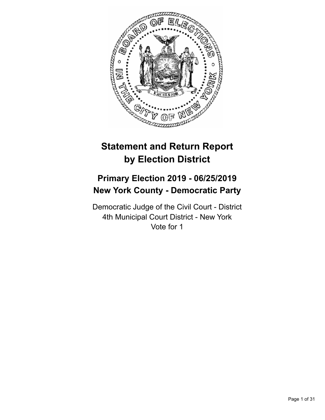

# **Statement and Return Report by Election District**

# **Primary Election 2019 - 06/25/2019 New York County - Democratic Party**

Democratic Judge of the Civil Court - District 4th Municipal Court District - New York Vote for 1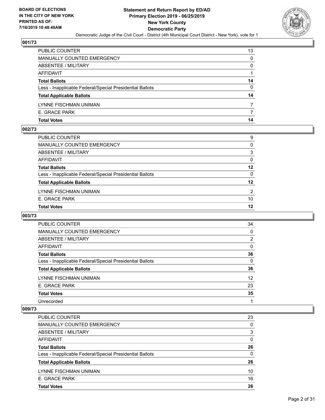

| E. GRACE PARK<br><b>Total Votes</b>                      | 14 |
|----------------------------------------------------------|----|
|                                                          |    |
| LYNNE FISCHMAN UNIMAN                                    |    |
| <b>Total Applicable Ballots</b>                          | 14 |
| Less - Inapplicable Federal/Special Presidential Ballots | 0  |
| <b>Total Ballots</b>                                     | 14 |
| AFFIDAVIT                                                |    |
| ABSENTEE / MILITARY                                      | 0  |
| MANUALLY COUNTED EMERGENCY                               | 0  |
| PUBLIC COUNTER                                           | 13 |

#### **002/73**

| PUBLIC COUNTER                                           | 9        |
|----------------------------------------------------------|----------|
| MANUALLY COUNTED EMERGENCY                               | $\Omega$ |
| <b>ABSENTEE / MILITARY</b>                               | 3        |
| AFFIDAVIT                                                | $\Omega$ |
| <b>Total Ballots</b>                                     | 12       |
| Less - Inapplicable Federal/Special Presidential Ballots | $\Omega$ |
| <b>Total Applicable Ballots</b>                          | 12       |
| LYNNE FISCHMAN UNIMAN                                    | 2        |
| E. GRACE PARK                                            | 10       |
| <b>Total Votes</b>                                       | 12       |
|                                                          |          |

# **003/73**

| 34             |
|----------------|
| 0              |
| $\overline{2}$ |
| $\Omega$       |
| 36             |
| $\Omega$       |
| 36             |
| 12             |
| 23             |
| 35             |
|                |
|                |

| PUBLIC COUNTER                                           | 23       |
|----------------------------------------------------------|----------|
| <b>MANUALLY COUNTED EMERGENCY</b>                        | $\Omega$ |
| ABSENTEE / MILITARY                                      | 3        |
| AFFIDAVIT                                                | $\Omega$ |
| <b>Total Ballots</b>                                     | 26       |
| Less - Inapplicable Federal/Special Presidential Ballots | 0        |
| <b>Total Applicable Ballots</b>                          | 26       |
| LYNNE FISCHMAN UNIMAN                                    | 10       |
| E. GRACE PARK                                            | 16       |
| <b>Total Votes</b>                                       | 26       |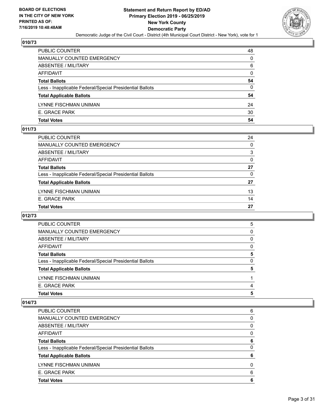

| E. GRACE PARK<br><b>Total Votes</b>                      | 30<br>54 |
|----------------------------------------------------------|----------|
| LYNNE FISCHMAN UNIMAN                                    | 24       |
| <b>Total Applicable Ballots</b>                          | 54       |
| Less - Inapplicable Federal/Special Presidential Ballots | 0        |
| <b>Total Ballots</b>                                     | 54       |
| AFFIDAVIT                                                | $\Omega$ |
| ABSENTEE / MILITARY                                      | 6        |
| <b>MANUALLY COUNTED EMERGENCY</b>                        | $\Omega$ |
| PUBLIC COUNTER                                           | 48       |

## **011/73**

| PUBLIC COUNTER                                           | 24       |
|----------------------------------------------------------|----------|
| <b>MANUALLY COUNTED EMERGENCY</b>                        | $\Omega$ |
| <b>ABSENTEE / MILITARY</b>                               | 3        |
| AFFIDAVIT                                                | $\Omega$ |
| <b>Total Ballots</b>                                     | 27       |
| Less - Inapplicable Federal/Special Presidential Ballots | $\Omega$ |
| <b>Total Applicable Ballots</b>                          | 27       |
| LYNNE FISCHMAN UNIMAN                                    | 13       |
| E. GRACE PARK                                            | 14       |
| <b>Total Votes</b>                                       | 27       |
|                                                          |          |

# **012/73**

| <b>Total Votes</b>                                       | 5 |
|----------------------------------------------------------|---|
| E. GRACE PARK                                            | 4 |
| LYNNE FISCHMAN UNIMAN                                    |   |
| <b>Total Applicable Ballots</b>                          | 5 |
| Less - Inapplicable Federal/Special Presidential Ballots | 0 |
| <b>Total Ballots</b>                                     | 5 |
| AFFIDAVIT                                                | 0 |
| ABSENTEE / MILITARY                                      | 0 |
| MANUALLY COUNTED EMERGENCY                               | 0 |
| PUBLIC COUNTER                                           | 5 |

| <b>Total Votes</b>                                       | 6 |
|----------------------------------------------------------|---|
| E. GRACE PARK                                            | 6 |
| LYNNE FISCHMAN UNIMAN                                    | 0 |
| <b>Total Applicable Ballots</b>                          | 6 |
| Less - Inapplicable Federal/Special Presidential Ballots | 0 |
| <b>Total Ballots</b>                                     | 6 |
| AFFIDAVIT                                                | 0 |
| ABSENTEE / MILITARY                                      | 0 |
| MANUALLY COUNTED EMERGENCY                               | 0 |
| <b>PUBLIC COUNTER</b>                                    | 6 |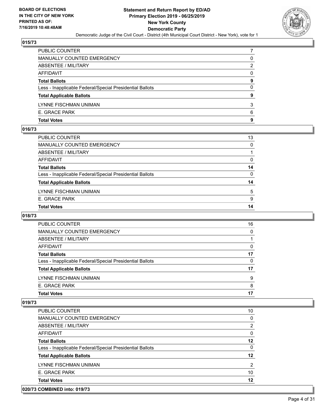

| <b>Total Votes</b>                                       | 9        |
|----------------------------------------------------------|----------|
| E. GRACE PARK                                            | 6        |
| LYNNE FISCHMAN UNIMAN                                    | 3        |
| <b>Total Applicable Ballots</b>                          | 9        |
| Less - Inapplicable Federal/Special Presidential Ballots | $\Omega$ |
| <b>Total Ballots</b>                                     | 9        |
| <b>AFFIDAVIT</b>                                         | $\Omega$ |
| ABSENTEE / MILITARY                                      | 2        |
| MANUALLY COUNTED EMERGENCY                               | 0        |
| PUBLIC COUNTER                                           |          |

## **016/73**

| PUBLIC COUNTER                                           | 13       |
|----------------------------------------------------------|----------|
| <b>MANUALLY COUNTED EMERGENCY</b>                        | 0        |
| <b>ABSENTEE / MILITARY</b>                               |          |
| AFFIDAVIT                                                | 0        |
| <b>Total Ballots</b>                                     | 14       |
| Less - Inapplicable Federal/Special Presidential Ballots | $\Omega$ |
| <b>Total Applicable Ballots</b>                          | 14       |
| LYNNE FISCHMAN UNIMAN                                    | 5        |
| E. GRACE PARK                                            | 9        |
| <b>Total Votes</b>                                       | 14       |
|                                                          |          |

# **018/73**

| <b>Total Votes</b>                                       | 17 |
|----------------------------------------------------------|----|
|                                                          |    |
| E. GRACE PARK                                            | 8  |
| LYNNE FISCHMAN UNIMAN                                    | 9  |
| <b>Total Applicable Ballots</b>                          | 17 |
| Less - Inapplicable Federal/Special Presidential Ballots | 0  |
| <b>Total Ballots</b>                                     | 17 |
| AFFIDAVIT                                                | 0  |
| ABSENTEE / MILITARY                                      |    |
| <b>MANUALLY COUNTED EMERGENCY</b>                        | 0  |
| PUBLIC COUNTER                                           | 16 |

#### **019/73**

| <b>Total Votes</b>                                       | 12            |
|----------------------------------------------------------|---------------|
| E. GRACE PARK                                            | 10            |
| LYNNE FISCHMAN UNIMAN                                    | $\mathcal{P}$ |
| <b>Total Applicable Ballots</b>                          | 12            |
| Less - Inapplicable Federal/Special Presidential Ballots | 0             |
| <b>Total Ballots</b>                                     | 12            |
| AFFIDAVIT                                                | 0             |
| ABSENTEE / MILITARY                                      | 2             |
| <b>MANUALLY COUNTED EMERGENCY</b>                        | 0             |
| PUBLIC COUNTER                                           | 10            |

# **020/73 COMBINED into: 019/73**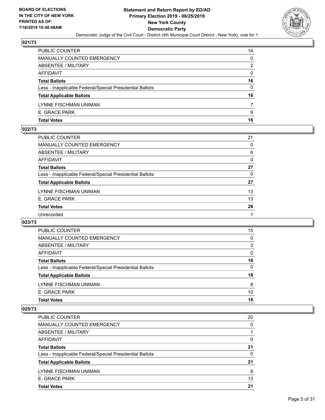

| PUBLIC COUNTER                                           | 14       |
|----------------------------------------------------------|----------|
| MANUALLY COUNTED EMERGENCY                               | $\Omega$ |
| <b>ABSENTEE / MILITARY</b>                               | 2        |
| AFFIDAVIT                                                | $\Omega$ |
| <b>Total Ballots</b>                                     | 16       |
| Less - Inapplicable Federal/Special Presidential Ballots | $\Omega$ |
| <b>Total Applicable Ballots</b>                          | 16       |
| LYNNE FISCHMAN UNIMAN                                    |          |
| E. GRACE PARK                                            | 9        |
| <b>Total Votes</b>                                       | 16       |

## **022/73**

| PUBLIC COUNTER                                           | 21       |
|----------------------------------------------------------|----------|
| <b>MANUALLY COUNTED EMERGENCY</b>                        | $\Omega$ |
| ABSENTEE / MILITARY                                      | 6        |
| <b>AFFIDAVIT</b>                                         | 0        |
| <b>Total Ballots</b>                                     | 27       |
| Less - Inapplicable Federal/Special Presidential Ballots | 0        |
| <b>Total Applicable Ballots</b>                          | 27       |
| LYNNE FISCHMAN UNIMAN                                    | 13       |
| E. GRACE PARK                                            | 13       |
| <b>Total Votes</b>                                       | 26       |
| Unrecorded                                               |          |
|                                                          |          |

# **023/73**

| PUBLIC COUNTER                                           | 15       |
|----------------------------------------------------------|----------|
| <b>MANUALLY COUNTED EMERGENCY</b>                        | $\Omega$ |
| ABSENTEE / MILITARY                                      | 3        |
| AFFIDAVIT                                                | $\Omega$ |
| <b>Total Ballots</b>                                     | 18       |
| Less - Inapplicable Federal/Special Presidential Ballots | 0        |
| <b>Total Applicable Ballots</b>                          | 18       |
| LYNNE FISCHMAN UNIMAN                                    | 8        |
| E. GRACE PARK                                            | 10       |
| <b>Total Votes</b>                                       | 18       |

| <b>PUBLIC COUNTER</b>                                    | 20 |
|----------------------------------------------------------|----|
| <b>MANUALLY COUNTED EMERGENCY</b>                        | 0  |
| ABSENTEE / MILITARY                                      |    |
| AFFIDAVIT                                                | 0  |
| <b>Total Ballots</b>                                     | 21 |
| Less - Inapplicable Federal/Special Presidential Ballots | 0  |
| <b>Total Applicable Ballots</b>                          | 21 |
| LYNNE FISCHMAN UNIMAN                                    | 8  |
| E. GRACE PARK                                            | 13 |
| <b>Total Votes</b>                                       | 21 |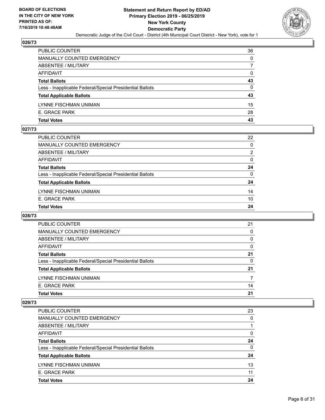

| PUBLIC COUNTER                                           | 36       |
|----------------------------------------------------------|----------|
| MANUALLY COUNTED EMERGENCY                               | $\Omega$ |
| <b>ABSENTEE / MILITARY</b>                               |          |
| AFFIDAVIT                                                | 0        |
| <b>Total Ballots</b>                                     | 43       |
| Less - Inapplicable Federal/Special Presidential Ballots | $\Omega$ |
| <b>Total Applicable Ballots</b>                          | 43       |
| LYNNE FISCHMAN UNIMAN                                    | 15       |
| E. GRACE PARK                                            | 28       |
| <b>Total Votes</b>                                       | 43       |

#### **027/73**

| PUBLIC COUNTER                                           | 22             |
|----------------------------------------------------------|----------------|
| <b>MANUALLY COUNTED EMERGENCY</b>                        | $\Omega$       |
| ABSENTEE / MILITARY                                      | $\overline{2}$ |
| AFFIDAVIT                                                | $\Omega$       |
| <b>Total Ballots</b>                                     | 24             |
| Less - Inapplicable Federal/Special Presidential Ballots | $\Omega$       |
| <b>Total Applicable Ballots</b>                          | 24             |
| LYNNE FISCHMAN UNIMAN                                    | 14             |
| E. GRACE PARK                                            | 10             |
| <b>Total Votes</b>                                       | 24             |
|                                                          |                |

# **028/73**

| <b>PUBLIC COUNTER</b>                                    | 21       |
|----------------------------------------------------------|----------|
| MANUALLY COUNTED EMERGENCY                               | 0        |
| ABSENTEE / MILITARY                                      | 0        |
| AFFIDAVIT                                                | 0        |
| <b>Total Ballots</b>                                     | 21       |
| Less - Inapplicable Federal/Special Presidential Ballots | $\Omega$ |
| <b>Total Applicable Ballots</b>                          | 21       |
| LYNNE FISCHMAN UNIMAN                                    |          |
| E. GRACE PARK                                            | 14       |
| <b>Total Votes</b>                                       | 21       |

| E. GRACE PARK                                            | 11<br>24 |
|----------------------------------------------------------|----------|
| LYNNE FISCHMAN UNIMAN                                    | 13       |
| <b>Total Applicable Ballots</b>                          | 24       |
| Less - Inapplicable Federal/Special Presidential Ballots | 0        |
| <b>Total Ballots</b>                                     | 24       |
| AFFIDAVIT                                                | 0        |
| ABSENTEE / MILITARY                                      |          |
| <b>MANUALLY COUNTED EMERGENCY</b>                        | 0        |
| PUBLIC COUNTER                                           | 23       |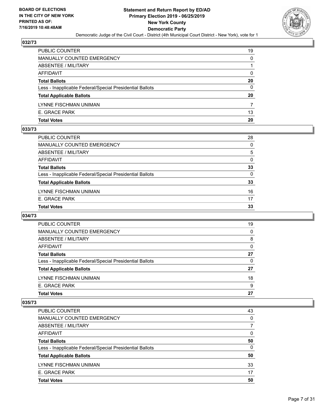

| <b>Total Votes</b>                                       | 20       |
|----------------------------------------------------------|----------|
| E. GRACE PARK                                            | 13       |
| LYNNE FISCHMAN UNIMAN                                    | 7        |
| <b>Total Applicable Ballots</b>                          | 20       |
| Less - Inapplicable Federal/Special Presidential Ballots | 0        |
| <b>Total Ballots</b>                                     | 20       |
| AFFIDAVIT                                                | 0        |
| ABSENTEE / MILITARY                                      |          |
| <b>MANUALLY COUNTED EMERGENCY</b>                        | $\Omega$ |
| PUBLIC COUNTER                                           | 19       |

#### **033/73**

| <b>Total Votes</b>                                       | 33       |
|----------------------------------------------------------|----------|
| E. GRACE PARK                                            | 17       |
| LYNNE FISCHMAN UNIMAN                                    | 16       |
| <b>Total Applicable Ballots</b>                          | 33       |
| Less - Inapplicable Federal/Special Presidential Ballots | $\Omega$ |
| <b>Total Ballots</b>                                     | 33       |
| AFFIDAVIT                                                | $\Omega$ |
| ABSENTEE / MILITARY                                      | 5        |
| <b>MANUALLY COUNTED EMERGENCY</b>                        | $\Omega$ |
| PUBLIC COUNTER                                           | 28       |

# **034/73**

| 19 |
|----|
| 0  |
| 8  |
| 0  |
| 27 |
| 0  |
| 27 |
| 18 |
| 9  |
| 27 |
|    |

| PUBLIC COUNTER                                           | 43 |
|----------------------------------------------------------|----|
| <b>MANUALLY COUNTED EMERGENCY</b>                        | 0  |
| ABSENTEE / MILITARY                                      |    |
| AFFIDAVIT                                                | 0  |
| <b>Total Ballots</b>                                     | 50 |
| Less - Inapplicable Federal/Special Presidential Ballots | 0  |
| <b>Total Applicable Ballots</b>                          | 50 |
| LYNNE FISCHMAN UNIMAN                                    | 33 |
| E. GRACE PARK                                            | 17 |
| <b>Total Votes</b>                                       | 50 |
|                                                          |    |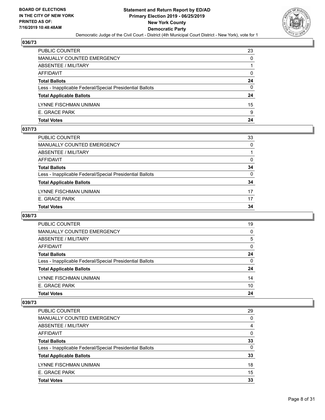

| PUBLIC COUNTER                                           | 23       |
|----------------------------------------------------------|----------|
| <b>MANUALLY COUNTED EMERGENCY</b>                        | 0        |
| <b>ABSENTEE / MILITARY</b>                               |          |
| AFFIDAVIT                                                | 0        |
| <b>Total Ballots</b>                                     | 24       |
| Less - Inapplicable Federal/Special Presidential Ballots | $\Omega$ |
| <b>Total Applicable Ballots</b>                          | 24       |
| LYNNE FISCHMAN UNIMAN                                    | 15       |
| E. GRACE PARK                                            | 9        |
| <b>Total Votes</b>                                       | 24       |

## **037/73**

| <b>Total Votes</b>                                       | 34       |
|----------------------------------------------------------|----------|
| E. GRACE PARK                                            | 17       |
| LYNNE FISCHMAN UNIMAN                                    | 17       |
| <b>Total Applicable Ballots</b>                          | 34       |
| Less - Inapplicable Federal/Special Presidential Ballots | $\Omega$ |
| <b>Total Ballots</b>                                     | 34       |
| <b>AFFIDAVIT</b>                                         | $\Omega$ |
| <b>ABSENTEE / MILITARY</b>                               |          |
| <b>MANUALLY COUNTED EMERGENCY</b>                        | $\Omega$ |
| PUBLIC COUNTER                                           | 33       |

# **038/73**

| PUBLIC COUNTER                                           | 19       |
|----------------------------------------------------------|----------|
| <b>MANUALLY COUNTED EMERGENCY</b>                        | 0        |
| ABSENTEE / MILITARY                                      | 5        |
| AFFIDAVIT                                                | $\Omega$ |
| <b>Total Ballots</b>                                     | 24       |
| Less - Inapplicable Federal/Special Presidential Ballots | $\Omega$ |
| <b>Total Applicable Ballots</b>                          | 24       |
| LYNNE FISCHMAN UNIMAN                                    | 14       |
| E. GRACE PARK                                            | 10       |
| <b>Total Votes</b>                                       | 24       |

| PUBLIC COUNTER                                           | 29       |
|----------------------------------------------------------|----------|
| <b>MANUALLY COUNTED EMERGENCY</b>                        | $\Omega$ |
| ABSENTEE / MILITARY                                      | 4        |
| AFFIDAVIT                                                | $\Omega$ |
| <b>Total Ballots</b>                                     | 33       |
| Less - Inapplicable Federal/Special Presidential Ballots | $\Omega$ |
| <b>Total Applicable Ballots</b>                          | 33       |
| LYNNE FISCHMAN UNIMAN                                    | 18       |
| E. GRACE PARK                                            | 15       |
| <b>Total Votes</b>                                       | 33       |
|                                                          |          |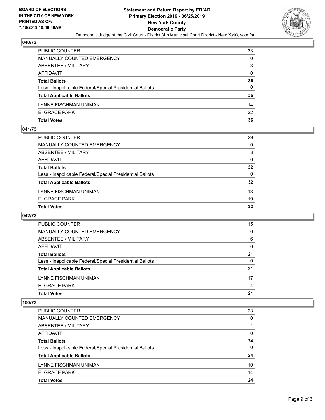

| PUBLIC COUNTER                                           | 33       |
|----------------------------------------------------------|----------|
| <b>MANUALLY COUNTED EMERGENCY</b>                        | 0        |
| ABSENTEE / MILITARY                                      | 3        |
| AFFIDAVIT                                                | $\Omega$ |
| <b>Total Ballots</b>                                     | 36       |
| Less - Inapplicable Federal/Special Presidential Ballots | 0        |
| <b>Total Applicable Ballots</b>                          | 36       |
| LYNNE FISCHMAN UNIMAN                                    | 14       |
| E. GRACE PARK                                            | 22       |
| <b>Total Votes</b>                                       | 36       |

#### **041/73**

| <b>Total Votes</b>                                       | 32       |
|----------------------------------------------------------|----------|
| E. GRACE PARK                                            | 19       |
| LYNNE FISCHMAN UNIMAN                                    | 13       |
| <b>Total Applicable Ballots</b>                          | 32       |
| Less - Inapplicable Federal/Special Presidential Ballots | $\Omega$ |
| <b>Total Ballots</b>                                     | 32       |
| AFFIDAVIT                                                | $\Omega$ |
| ABSENTEE / MILITARY                                      | 3        |
| <b>MANUALLY COUNTED EMERGENCY</b>                        | $\Omega$ |
| PUBLIC COUNTER                                           | 29       |

# **042/73**

| PUBLIC COUNTER                                           | 15       |
|----------------------------------------------------------|----------|
| <b>MANUALLY COUNTED EMERGENCY</b>                        | 0        |
| ABSENTEE / MILITARY                                      | 6        |
| AFFIDAVIT                                                | 0        |
| <b>Total Ballots</b>                                     | 21       |
| Less - Inapplicable Federal/Special Presidential Ballots | $\Omega$ |
| <b>Total Applicable Ballots</b>                          | 21       |
| LYNNE FISCHMAN UNIMAN                                    | 17       |
| E. GRACE PARK                                            | 4        |
| <b>Total Votes</b>                                       | 21       |

| <b>Total Votes</b>                                       | 24 |
|----------------------------------------------------------|----|
| E. GRACE PARK                                            | 14 |
| LYNNE FISCHMAN UNIMAN                                    | 10 |
| <b>Total Applicable Ballots</b>                          | 24 |
| Less - Inapplicable Federal/Special Presidential Ballots | 0  |
| <b>Total Ballots</b>                                     | 24 |
| AFFIDAVIT                                                | 0  |
| ABSENTEE / MILITARY                                      |    |
| <b>MANUALLY COUNTED EMERGENCY</b>                        | 0  |
| PUBLIC COUNTER                                           | 23 |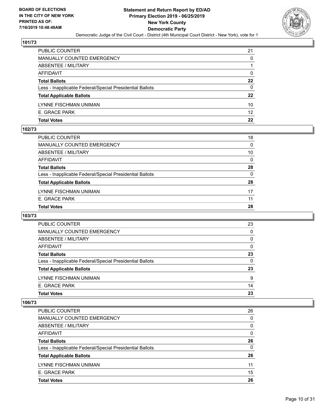

| PUBLIC COUNTER                                           | 21 |
|----------------------------------------------------------|----|
| MANUALLY COUNTED EMERGENCY                               | 0  |
| ABSENTEE / MILITARY                                      |    |
| AFFIDAVIT                                                | 0  |
| <b>Total Ballots</b>                                     | 22 |
| Less - Inapplicable Federal/Special Presidential Ballots | 0  |
| <b>Total Applicable Ballots</b>                          | 22 |
| LYNNE FISCHMAN UNIMAN                                    | 10 |
| E. GRACE PARK                                            | 12 |
| <b>Total Votes</b>                                       | 22 |

## **102/73**

| <b>Total Votes</b>                                       | 28       |
|----------------------------------------------------------|----------|
| E. GRACE PARK                                            | 11       |
| LYNNE FISCHMAN UNIMAN                                    | 17       |
| <b>Total Applicable Ballots</b>                          | 28       |
| Less - Inapplicable Federal/Special Presidential Ballots | $\Omega$ |
| <b>Total Ballots</b>                                     | 28       |
| AFFIDAVIT                                                | $\Omega$ |
| <b>ABSENTEE / MILITARY</b>                               | 10       |
| <b>MANUALLY COUNTED EMERGENCY</b>                        | $\Omega$ |
| PUBLIC COUNTER                                           | 18       |

# **103/73**

| <b>PUBLIC COUNTER</b>                                    | 23       |
|----------------------------------------------------------|----------|
| MANUALLY COUNTED EMERGENCY                               | 0        |
| ABSENTEE / MILITARY                                      | $\Omega$ |
| AFFIDAVIT                                                | 0        |
| <b>Total Ballots</b>                                     | 23       |
| Less - Inapplicable Federal/Special Presidential Ballots | $\Omega$ |
| <b>Total Applicable Ballots</b>                          | 23       |
| LYNNE FISCHMAN UNIMAN                                    | 9        |
| E. GRACE PARK                                            | 14       |
| <b>Total Votes</b>                                       | 23       |

| <b>Total Votes</b>                                       | 26       |
|----------------------------------------------------------|----------|
| E. GRACE PARK                                            | 15       |
| LYNNE FISCHMAN UNIMAN                                    | 11       |
| <b>Total Applicable Ballots</b>                          | 26       |
| Less - Inapplicable Federal/Special Presidential Ballots | 0        |
| <b>Total Ballots</b>                                     | 26       |
| AFFIDAVIT                                                | 0        |
| ABSENTEE / MILITARY                                      | $\Omega$ |
| <b>MANUALLY COUNTED EMERGENCY</b>                        | 0        |
| PUBLIC COUNTER                                           | 26       |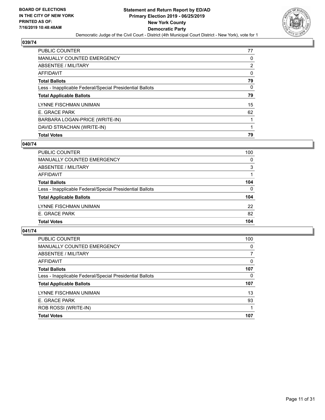

| PUBLIC COUNTER                                           | 77 |
|----------------------------------------------------------|----|
| <b>MANUALLY COUNTED EMERGENCY</b>                        | 0  |
| ABSENTEE / MILITARY                                      | 2  |
| AFFIDAVIT                                                | 0  |
| <b>Total Ballots</b>                                     | 79 |
| Less - Inapplicable Federal/Special Presidential Ballots | 0  |
| <b>Total Applicable Ballots</b>                          | 79 |
| LYNNE FISCHMAN UNIMAN                                    | 15 |
|                                                          |    |
| E. GRACE PARK                                            | 62 |
| BARBARA LOGAN-PRICE (WRITE-IN)                           |    |
| DAVID STRACHAN (WRITE-IN)                                |    |

## **040/74**

| PUBLIC COUNTER                                           | 100      |
|----------------------------------------------------------|----------|
| <b>MANUALLY COUNTED EMERGENCY</b>                        | $\Omega$ |
| ABSENTEE / MILITARY                                      | 3        |
| AFFIDAVIT                                                |          |
| <b>Total Ballots</b>                                     | 104      |
| Less - Inapplicable Federal/Special Presidential Ballots | 0        |
| <b>Total Applicable Ballots</b>                          | 104      |
| LYNNE FISCHMAN UNIMAN                                    | 22       |
| E. GRACE PARK                                            | 82       |
| <b>Total Votes</b>                                       | 104      |
|                                                          |          |

| PUBLIC COUNTER                                           | 100      |
|----------------------------------------------------------|----------|
| <b>MANUALLY COUNTED EMERGENCY</b>                        | $\Omega$ |
| ABSENTEE / MILITARY                                      | 7        |
| AFFIDAVIT                                                | $\Omega$ |
| <b>Total Ballots</b>                                     | 107      |
| Less - Inapplicable Federal/Special Presidential Ballots | $\Omega$ |
| <b>Total Applicable Ballots</b>                          | 107      |
| LYNNE FISCHMAN UNIMAN                                    | 13       |
| E. GRACE PARK                                            | 93       |
| ROB ROSSI (WRITE-IN)                                     |          |
| <b>Total Votes</b>                                       | 107      |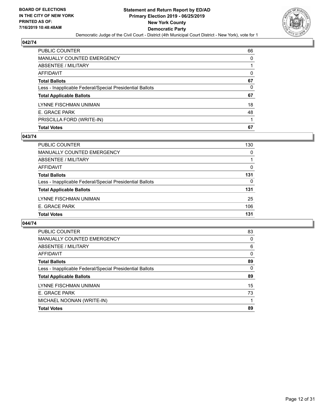

| <b>Total Votes</b>                                       | 67       |
|----------------------------------------------------------|----------|
| PRISCILLA FORD (WRITE-IN)                                |          |
| E. GRACE PARK                                            | 48       |
| LYNNE FISCHMAN UNIMAN                                    | 18       |
| <b>Total Applicable Ballots</b>                          | 67       |
| Less - Inapplicable Federal/Special Presidential Ballots | 0        |
| <b>Total Ballots</b>                                     | 67       |
| <b>AFFIDAVIT</b>                                         | $\Omega$ |
| <b>ABSENTEE / MILITARY</b>                               |          |
| <b>MANUALLY COUNTED EMERGENCY</b>                        | $\Omega$ |
| PUBLIC COUNTER                                           | 66       |

#### **043/74**

| PUBLIC COUNTER                                           | 130 |
|----------------------------------------------------------|-----|
| MANUALLY COUNTED EMERGENCY                               | 0   |
| ABSENTEE / MILITARY                                      |     |
| AFFIDAVIT                                                | 0   |
| <b>Total Ballots</b>                                     | 131 |
| Less - Inapplicable Federal/Special Presidential Ballots | 0   |
| <b>Total Applicable Ballots</b>                          | 131 |
| LYNNE FISCHMAN UNIMAN                                    | 25  |
| E. GRACE PARK                                            | 106 |
| <b>Total Votes</b>                                       | 131 |

| <b>Total Votes</b>                                       | 89       |
|----------------------------------------------------------|----------|
| MICHAEL NOONAN (WRITE-IN)                                |          |
| E. GRACE PARK                                            | 73       |
| LYNNE FISCHMAN UNIMAN                                    | 15       |
| <b>Total Applicable Ballots</b>                          | 89       |
| Less - Inapplicable Federal/Special Presidential Ballots | $\Omega$ |
| <b>Total Ballots</b>                                     | 89       |
| <b>AFFIDAVIT</b>                                         | 0        |
| ABSENTEE / MILITARY                                      | 6        |
| MANUALLY COUNTED EMERGENCY                               | 0        |
| PUBLIC COUNTER                                           | 83       |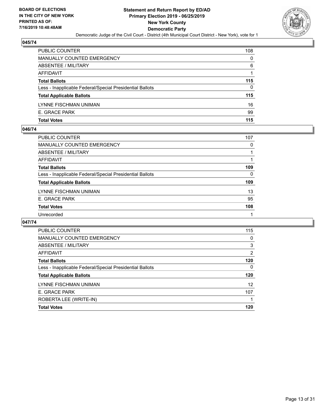

| <b>PUBLIC COUNTER</b>                                    | 108      |
|----------------------------------------------------------|----------|
| <b>MANUALLY COUNTED EMERGENCY</b>                        | $\Omega$ |
| <b>ABSENTEE / MILITARY</b>                               | 6        |
| AFFIDAVIT                                                |          |
| <b>Total Ballots</b>                                     | 115      |
| Less - Inapplicable Federal/Special Presidential Ballots | 0        |
| <b>Total Applicable Ballots</b>                          | 115      |
| LYNNE FISCHMAN UNIMAN                                    | 16       |
| E. GRACE PARK                                            | 99       |
| <b>Total Votes</b>                                       | 115      |

## **046/74**

| PUBLIC COUNTER                                           | 107 |
|----------------------------------------------------------|-----|
| <b>MANUALLY COUNTED EMERGENCY</b>                        | 0   |
| ABSENTEE / MILITARY                                      |     |
| AFFIDAVIT                                                |     |
| <b>Total Ballots</b>                                     | 109 |
| Less - Inapplicable Federal/Special Presidential Ballots | 0   |
| <b>Total Applicable Ballots</b>                          | 109 |
| LYNNE FISCHMAN UNIMAN                                    | 13  |
| E. GRACE PARK                                            | 95  |
| <b>Total Votes</b>                                       | 108 |
| Unrecorded                                               |     |

| <b>PUBLIC COUNTER</b>                                    | 115      |
|----------------------------------------------------------|----------|
| <b>MANUALLY COUNTED EMERGENCY</b>                        | $\Omega$ |
| ABSENTEE / MILITARY                                      | 3        |
| AFFIDAVIT                                                | 2        |
| <b>Total Ballots</b>                                     | 120      |
| Less - Inapplicable Federal/Special Presidential Ballots | 0        |
| <b>Total Applicable Ballots</b>                          | 120      |
| LYNNE FISCHMAN UNIMAN                                    | 12       |
| E. GRACE PARK                                            | 107      |
| ROBERTA LEE (WRITE-IN)                                   |          |
| <b>Total Votes</b>                                       | 120      |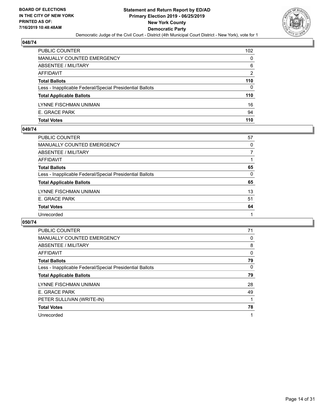

| PUBLIC COUNTER                                           | 102 |
|----------------------------------------------------------|-----|
| <b>MANUALLY COUNTED EMERGENCY</b>                        | 0   |
| ABSENTEE / MILITARY                                      | 6   |
| AFFIDAVIT                                                | 2   |
| <b>Total Ballots</b>                                     | 110 |
| Less - Inapplicable Federal/Special Presidential Ballots | 0   |
| <b>Total Applicable Ballots</b>                          | 110 |
| LYNNE FISCHMAN UNIMAN                                    | 16  |
| E. GRACE PARK                                            | 94  |
| <b>Total Votes</b>                                       | 110 |

## **049/74**

| <b>PUBLIC COUNTER</b>                                    | 57       |
|----------------------------------------------------------|----------|
| <b>MANUALLY COUNTED EMERGENCY</b>                        | $\Omega$ |
| ABSENTEE / MILITARY                                      |          |
| <b>AFFIDAVIT</b>                                         |          |
| <b>Total Ballots</b>                                     | 65       |
| Less - Inapplicable Federal/Special Presidential Ballots | 0        |
| <b>Total Applicable Ballots</b>                          | 65       |
| LYNNE FISCHMAN UNIMAN                                    | 13       |
| E. GRACE PARK                                            | 51       |
| <b>Total Votes</b>                                       | 64       |
| Unrecorded                                               |          |
|                                                          |          |

| <b>PUBLIC COUNTER</b>                                    | 71       |
|----------------------------------------------------------|----------|
| <b>MANUALLY COUNTED EMERGENCY</b>                        | 0        |
| ABSENTEE / MILITARY                                      | 8        |
| <b>AFFIDAVIT</b>                                         | $\Omega$ |
| <b>Total Ballots</b>                                     | 79       |
| Less - Inapplicable Federal/Special Presidential Ballots | $\Omega$ |
| <b>Total Applicable Ballots</b>                          | 79       |
|                                                          |          |
| LYNNE FISCHMAN UNIMAN                                    | 28       |
| E. GRACE PARK                                            | 49       |
| PETER SULLIVAN (WRITE-IN)                                |          |
| <b>Total Votes</b>                                       | 78       |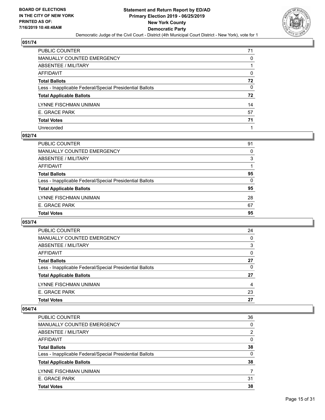

| PUBLIC COUNTER                                           | 71 |
|----------------------------------------------------------|----|
| MANUALLY COUNTED EMERGENCY                               | 0  |
| ABSENTEE / MILITARY                                      |    |
| AFFIDAVIT                                                | 0  |
| Total Ballots                                            | 72 |
| Less - Inapplicable Federal/Special Presidential Ballots | 0  |
| <b>Total Applicable Ballots</b>                          | 72 |
| LYNNE FISCHMAN UNIMAN                                    | 14 |
| E. GRACE PARK                                            | 57 |
| <b>Total Votes</b>                                       | 71 |
| Unrecorded                                               |    |

#### **052/74**

| <b>Total Votes</b>                                       | 95       |
|----------------------------------------------------------|----------|
| E. GRACE PARK                                            | 67       |
| LYNNE FISCHMAN UNIMAN                                    | 28       |
| <b>Total Applicable Ballots</b>                          | 95       |
| Less - Inapplicable Federal/Special Presidential Ballots | 0        |
| <b>Total Ballots</b>                                     | 95       |
| AFFIDAVIT                                                |          |
| ABSENTEE / MILITARY                                      | 3        |
| <b>MANUALLY COUNTED EMERGENCY</b>                        | $\Omega$ |
| <b>PUBLIC COUNTER</b>                                    | 91       |

# **053/74**

| PUBLIC COUNTER                                           | 24       |
|----------------------------------------------------------|----------|
| MANUALLY COUNTED EMERGENCY                               | $\Omega$ |
| ABSENTEE / MILITARY                                      | 3        |
| AFFIDAVIT                                                | $\Omega$ |
| <b>Total Ballots</b>                                     | 27       |
| Less - Inapplicable Federal/Special Presidential Ballots | 0        |
| <b>Total Applicable Ballots</b>                          | 27       |
| LYNNE FISCHMAN UNIMAN                                    | 4        |
| E. GRACE PARK                                            | 23       |
| <b>Total Votes</b>                                       | 27       |

| <b>PUBLIC COUNTER</b>                                    | 36       |
|----------------------------------------------------------|----------|
| <b>MANUALLY COUNTED EMERGENCY</b>                        | $\Omega$ |
| ABSENTEE / MILITARY                                      | 2        |
| AFFIDAVIT                                                | 0        |
| <b>Total Ballots</b>                                     | 38       |
| Less - Inapplicable Federal/Special Presidential Ballots | 0        |
| <b>Total Applicable Ballots</b>                          | 38       |
| LYNNE FISCHMAN UNIMAN                                    |          |
| E. GRACE PARK                                            | 31       |
| <b>Total Votes</b>                                       | 38       |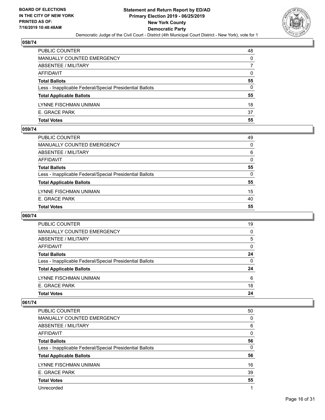

| PUBLIC COUNTER                                           | 48 |
|----------------------------------------------------------|----|
| <b>MANUALLY COUNTED EMERGENCY</b>                        | 0  |
| <b>ABSENTEE / MILITARY</b>                               |    |
| AFFIDAVIT                                                | 0  |
| <b>Total Ballots</b>                                     | 55 |
| Less - Inapplicable Federal/Special Presidential Ballots | 0  |
| <b>Total Applicable Ballots</b>                          | 55 |
| LYNNE FISCHMAN UNIMAN                                    | 18 |
| E. GRACE PARK                                            | 37 |
| <b>Total Votes</b>                                       | 55 |

## **059/74**

| <b>Total Votes</b>                                       | 55       |
|----------------------------------------------------------|----------|
|                                                          |          |
| E. GRACE PARK                                            | 40       |
| LYNNE FISCHMAN UNIMAN                                    | 15       |
| <b>Total Applicable Ballots</b>                          | 55       |
| Less - Inapplicable Federal/Special Presidential Ballots | $\Omega$ |
| <b>Total Ballots</b>                                     | 55       |
| <b>AFFIDAVIT</b>                                         | $\Omega$ |
| ABSENTEE / MILITARY                                      | 6        |
| MANUALLY COUNTED EMERGENCY                               | $\Omega$ |
| PUBLIC COUNTER                                           | 49       |

# **060/74**

| <b>PUBLIC COUNTER</b>                                    | 19       |
|----------------------------------------------------------|----------|
| MANUALLY COUNTED EMERGENCY                               | 0        |
| ABSENTEE / MILITARY                                      | 5        |
| AFFIDAVIT                                                | $\Omega$ |
| <b>Total Ballots</b>                                     | 24       |
| Less - Inapplicable Federal/Special Presidential Ballots | $\Omega$ |
| <b>Total Applicable Ballots</b>                          | 24       |
| LYNNE FISCHMAN UNIMAN                                    | 6        |
| E. GRACE PARK                                            | 18       |
| <b>Total Votes</b>                                       | 24       |

| PUBLIC COUNTER                                           | 50       |
|----------------------------------------------------------|----------|
| <b>MANUALLY COUNTED EMERGENCY</b>                        | $\Omega$ |
| ABSENTEE / MILITARY                                      | 6        |
| AFFIDAVIT                                                | $\Omega$ |
| <b>Total Ballots</b>                                     | 56       |
| Less - Inapplicable Federal/Special Presidential Ballots | $\Omega$ |
| <b>Total Applicable Ballots</b>                          | 56       |
| LYNNE FISCHMAN UNIMAN                                    | 16       |
| E. GRACE PARK                                            | 39       |
| <b>Total Votes</b>                                       | 55       |
|                                                          |          |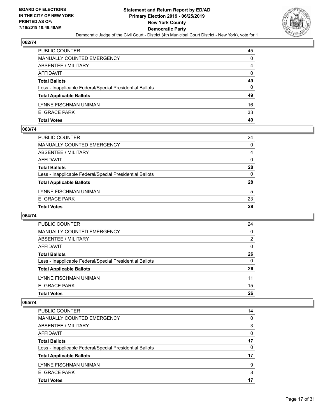

| <b>PUBLIC COUNTER</b>                                    | 45       |
|----------------------------------------------------------|----------|
| <b>MANUALLY COUNTED EMERGENCY</b>                        | 0        |
| <b>ABSENTEE / MILITARY</b>                               | 4        |
| AFFIDAVIT                                                | $\Omega$ |
| <b>Total Ballots</b>                                     | 49       |
| Less - Inapplicable Federal/Special Presidential Ballots | 0        |
| <b>Total Applicable Ballots</b>                          | 49       |
| LYNNE FISCHMAN UNIMAN                                    | 16       |
| E. GRACE PARK                                            | 33       |
| <b>Total Votes</b>                                       | 49       |

#### **063/74**

| <b>Total Votes</b>                                       | 28       |
|----------------------------------------------------------|----------|
| E. GRACE PARK                                            | 23       |
| LYNNE FISCHMAN UNIMAN                                    | 5        |
| <b>Total Applicable Ballots</b>                          | 28       |
| Less - Inapplicable Federal/Special Presidential Ballots | $\Omega$ |
| <b>Total Ballots</b>                                     | 28       |
| AFFIDAVIT                                                | $\Omega$ |
| ABSENTEE / MILITARY                                      | 4        |
| <b>MANUALLY COUNTED EMERGENCY</b>                        | $\Omega$ |
| PUBLIC COUNTER                                           | 24       |

# **064/74**

| <b>PUBLIC COUNTER</b>                                    | 24       |
|----------------------------------------------------------|----------|
| MANUALLY COUNTED EMERGENCY                               | $\Omega$ |
| ABSENTEE / MILITARY                                      | 2        |
| AFFIDAVIT                                                | $\Omega$ |
| <b>Total Ballots</b>                                     | 26       |
| Less - Inapplicable Federal/Special Presidential Ballots | $\Omega$ |
| <b>Total Applicable Ballots</b>                          | 26       |
| LYNNE FISCHMAN UNIMAN                                    | 11       |
| E. GRACE PARK                                            | 15       |
| <b>Total Votes</b>                                       | 26       |

| <b>Total Votes</b>                                       | 17       |
|----------------------------------------------------------|----------|
| E. GRACE PARK                                            | 8        |
| LYNNE FISCHMAN UNIMAN                                    | 9        |
| <b>Total Applicable Ballots</b>                          | 17       |
| Less - Inapplicable Federal/Special Presidential Ballots | $\Omega$ |
| <b>Total Ballots</b>                                     | 17       |
| AFFIDAVIT                                                | 0        |
| ABSENTEE / MILITARY                                      | 3        |
| <b>MANUALLY COUNTED EMERGENCY</b>                        | 0        |
| <b>PUBLIC COUNTER</b>                                    | 14       |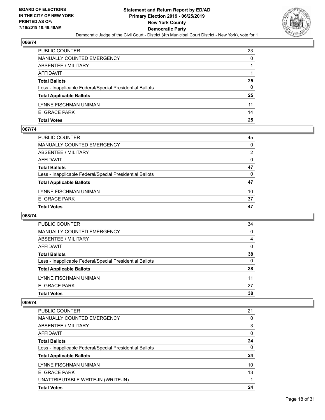

| <b>PUBLIC COUNTER</b>                                    | 23 |
|----------------------------------------------------------|----|
| <b>MANUALLY COUNTED EMERGENCY</b>                        | 0  |
| <b>ABSENTEE / MILITARY</b>                               |    |
| AFFIDAVIT                                                |    |
| <b>Total Ballots</b>                                     | 25 |
| Less - Inapplicable Federal/Special Presidential Ballots | 0  |
| <b>Total Applicable Ballots</b>                          | 25 |
| LYNNE FISCHMAN UNIMAN                                    | 11 |
| E. GRACE PARK                                            | 14 |
| <b>Total Votes</b>                                       | 25 |

#### **067/74**

| <b>Total Votes</b>                                       | 47             |
|----------------------------------------------------------|----------------|
| E. GRACE PARK                                            | 37             |
| LYNNE FISCHMAN UNIMAN                                    | 10             |
| <b>Total Applicable Ballots</b>                          | 47             |
| Less - Inapplicable Federal/Special Presidential Ballots | $\Omega$       |
| <b>Total Ballots</b>                                     | 47             |
| AFFIDAVIT                                                | $\Omega$       |
| ABSENTEE / MILITARY                                      | $\overline{2}$ |
| <b>MANUALLY COUNTED EMERGENCY</b>                        | $\Omega$       |
| PUBLIC COUNTER                                           | 45             |

# **068/74**

| 34       |
|----------|
| 0        |
| 4        |
| 0        |
| 38       |
| $\Omega$ |
| 38       |
| 11       |
| 27       |
| 38       |
|          |

| <b>PUBLIC COUNTER</b>                                    | 21 |
|----------------------------------------------------------|----|
| <b>MANUALLY COUNTED EMERGENCY</b>                        | 0  |
| ABSENTEE / MILITARY                                      | 3  |
| AFFIDAVIT                                                | 0  |
| <b>Total Ballots</b>                                     | 24 |
| Less - Inapplicable Federal/Special Presidential Ballots | 0  |
| <b>Total Applicable Ballots</b>                          | 24 |
| LYNNE FISCHMAN UNIMAN                                    | 10 |
| E. GRACE PARK                                            | 13 |
| UNATTRIBUTABLE WRITE-IN (WRITE-IN)                       |    |
| <b>Total Votes</b>                                       | 24 |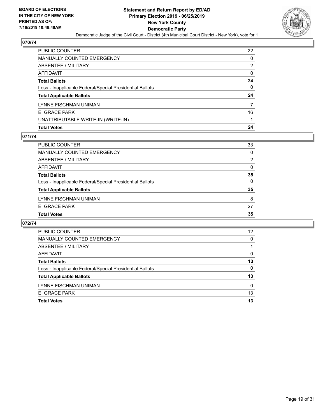

| PUBLIC COUNTER                                           | 22            |
|----------------------------------------------------------|---------------|
| <b>MANUALLY COUNTED EMERGENCY</b>                        | 0             |
| ABSENTEE / MILITARY                                      | $\mathcal{P}$ |
| <b>AFFIDAVIT</b>                                         | $\Omega$      |
| <b>Total Ballots</b>                                     | 24            |
| Less - Inapplicable Federal/Special Presidential Ballots | $\Omega$      |
| <b>Total Applicable Ballots</b>                          | 24            |
| LYNNE FISCHMAN UNIMAN                                    | 7             |
| E. GRACE PARK                                            | 16            |
| UNATTRIBUTABLE WRITE-IN (WRITE-IN)                       |               |
| <b>Total Votes</b>                                       | 24            |

# **071/74**

| PUBLIC COUNTER                                           | 33             |
|----------------------------------------------------------|----------------|
| <b>MANUALLY COUNTED EMERGENCY</b>                        | 0              |
| ABSENTEE / MILITARY                                      | $\overline{2}$ |
| AFFIDAVIT                                                | 0              |
| <b>Total Ballots</b>                                     | 35             |
| Less - Inapplicable Federal/Special Presidential Ballots | 0              |
| <b>Total Applicable Ballots</b>                          | 35             |
| LYNNE FISCHMAN UNIMAN                                    | 8              |
| E. GRACE PARK                                            | 27             |
| <b>Total Votes</b>                                       | 35             |

| PUBLIC COUNTER                                           | $12 \overline{ }$ |
|----------------------------------------------------------|-------------------|
| MANUALLY COUNTED EMERGENCY                               | 0                 |
| ABSENTEE / MILITARY                                      |                   |
| AFFIDAVIT                                                | 0                 |
| <b>Total Ballots</b>                                     | 13                |
| Less - Inapplicable Federal/Special Presidential Ballots | 0                 |
| <b>Total Applicable Ballots</b>                          | 13                |
| LYNNE FISCHMAN UNIMAN                                    | $\Omega$          |
| E. GRACE PARK                                            | 13                |
| <b>Total Votes</b>                                       | 13                |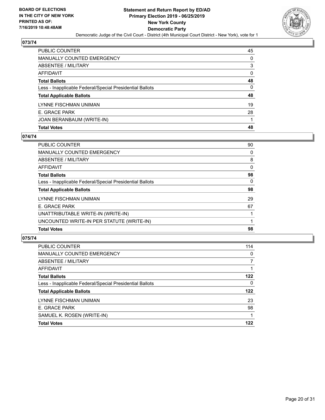

| <b>Total Votes</b>                                       | 48       |
|----------------------------------------------------------|----------|
| JOAN BERANBAUM (WRITE-IN)                                |          |
| E. GRACE PARK                                            | 28       |
| LYNNE FISCHMAN UNIMAN                                    | 19       |
| <b>Total Applicable Ballots</b>                          | 48       |
| Less - Inapplicable Federal/Special Presidential Ballots | 0        |
| <b>Total Ballots</b>                                     | 48       |
| AFFIDAVIT                                                | $\Omega$ |
| <b>ABSENTEE / MILITARY</b>                               | 3        |
| <b>MANUALLY COUNTED EMERGENCY</b>                        | 0        |
| PUBLIC COUNTER                                           | 45       |

#### **074/74**

| 90       |
|----------|
| 0        |
| 8        |
| 0        |
| 98       |
| $\Omega$ |
| 98       |
| 29       |
| 67       |
|          |
|          |
| 98       |
|          |

| <b>PUBLIC COUNTER</b>                                    | 114      |
|----------------------------------------------------------|----------|
| <b>MANUALLY COUNTED EMERGENCY</b>                        | 0        |
| ABSENTEE / MILITARY                                      | 7        |
| AFFIDAVIT                                                |          |
| <b>Total Ballots</b>                                     | 122      |
| Less - Inapplicable Federal/Special Presidential Ballots | $\Omega$ |
| <b>Total Applicable Ballots</b>                          | 122      |
| LYNNE FISCHMAN UNIMAN                                    | 23       |
| E. GRACE PARK                                            | 98       |
| SAMUEL K. ROSEN (WRITE-IN)                               |          |
| <b>Total Votes</b>                                       | 122      |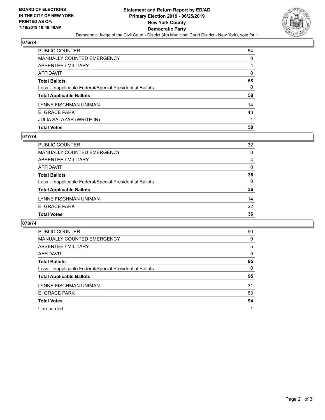

| <b>Total Votes</b>                                       | 58       |
|----------------------------------------------------------|----------|
| JULIA SALAZAR (WRITE-IN)                                 |          |
| E. GRACE PARK                                            | 43       |
| LYNNE FISCHMAN UNIMAN                                    | 14       |
| <b>Total Applicable Ballots</b>                          | 58       |
| Less - Inapplicable Federal/Special Presidential Ballots | 0        |
| <b>Total Ballots</b>                                     | 58       |
| <b>AFFIDAVIT</b>                                         | $\Omega$ |
| <b>ABSENTEE / MILITARY</b>                               | 4        |
| <b>MANUALLY COUNTED EMERGENCY</b>                        | 0        |
| PUBLIC COUNTER                                           | 54       |

#### **077/74**

| <b>PUBLIC COUNTER</b>                                    | 32 |
|----------------------------------------------------------|----|
| <b>MANUALLY COUNTED EMERGENCY</b>                        | 0  |
| ABSENTEE / MILITARY                                      | 4  |
| AFFIDAVIT                                                | 0  |
| <b>Total Ballots</b>                                     | 36 |
| Less - Inapplicable Federal/Special Presidential Ballots | 0  |
| <b>Total Applicable Ballots</b>                          | 36 |
| LYNNE FISCHMAN UNIMAN                                    | 14 |
| E. GRACE PARK                                            | 22 |
| <b>Total Votes</b>                                       | 36 |

| <b>PUBLIC COUNTER</b>                                    | 90       |
|----------------------------------------------------------|----------|
| <b>MANUALLY COUNTED EMERGENCY</b>                        | 0        |
| ABSENTEE / MILITARY                                      | 5        |
| AFFIDAVIT                                                | 0        |
| <b>Total Ballots</b>                                     | 95       |
| Less - Inapplicable Federal/Special Presidential Ballots | $\Omega$ |
| <b>Total Applicable Ballots</b>                          | 95       |
| LYNNE FISCHMAN UNIMAN                                    | 31       |
| E. GRACE PARK                                            | 63       |
| <b>Total Votes</b>                                       | 94       |
|                                                          |          |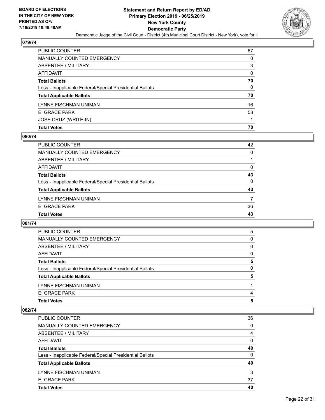

| PUBLIC COUNTER                                           | 67       |
|----------------------------------------------------------|----------|
| <b>MANUALLY COUNTED EMERGENCY</b>                        | 0        |
| <b>ABSENTEE / MILITARY</b>                               | 3        |
| AFFIDAVIT                                                | $\Omega$ |
| <b>Total Ballots</b>                                     | 70       |
| Less - Inapplicable Federal/Special Presidential Ballots | 0        |
| <b>Total Applicable Ballots</b>                          | 70       |
| LYNNE FISCHMAN UNIMAN                                    | 16       |
| E. GRACE PARK                                            | 53       |
| JOSE CRUZ (WRITE-IN)                                     |          |
| <b>Total Votes</b>                                       | 70       |

# **080/74**

| PUBLIC COUNTER                                           | 42       |
|----------------------------------------------------------|----------|
| MANUALLY COUNTED EMERGENCY                               | 0        |
| <b>ABSENTEE / MILITARY</b>                               |          |
| <b>AFFIDAVIT</b>                                         | 0        |
| <b>Total Ballots</b>                                     | 43       |
| Less - Inapplicable Federal/Special Presidential Ballots | $\Omega$ |
| <b>Total Applicable Ballots</b>                          | 43       |
| LYNNE FISCHMAN UNIMAN                                    | 7        |
| E. GRACE PARK                                            | 36       |
| <b>Total Votes</b>                                       | 43       |

## **081/74**

| <b>PUBLIC COUNTER</b>                                    | 5 |
|----------------------------------------------------------|---|
| MANUALLY COUNTED EMERGENCY                               | 0 |
| ABSENTEE / MILITARY                                      | 0 |
| AFFIDAVIT                                                | 0 |
| <b>Total Ballots</b>                                     | 5 |
| Less - Inapplicable Federal/Special Presidential Ballots | 0 |
| <b>Total Applicable Ballots</b>                          | 5 |
| LYNNE FISCHMAN UNIMAN                                    |   |
| E. GRACE PARK                                            | 4 |
| <b>Total Votes</b>                                       | 5 |

| PUBLIC COUNTER                                           | 36       |
|----------------------------------------------------------|----------|
| <b>MANUALLY COUNTED EMERGENCY</b>                        | $\Omega$ |
| ABSENTEE / MILITARY                                      | 4        |
| AFFIDAVIT                                                | $\Omega$ |
| <b>Total Ballots</b>                                     | 40       |
| Less - Inapplicable Federal/Special Presidential Ballots | $\Omega$ |
| <b>Total Applicable Ballots</b>                          | 40       |
| LYNNE FISCHMAN UNIMAN                                    | 3        |
| E. GRACE PARK                                            | 37       |
| <b>Total Votes</b>                                       | 40       |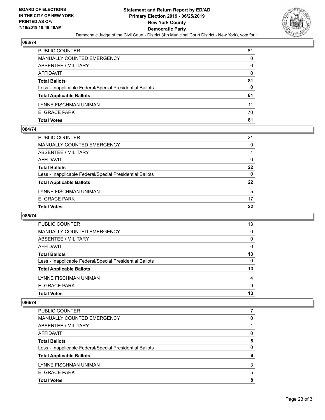

| <b>Total Votes</b>                                       | 81       |
|----------------------------------------------------------|----------|
| E. GRACE PARK                                            | 70       |
| LYNNE FISCHMAN UNIMAN                                    | 11       |
| <b>Total Applicable Ballots</b>                          | 81       |
| Less - Inapplicable Federal/Special Presidential Ballots | 0        |
| <b>Total Ballots</b>                                     | 81       |
| AFFIDAVIT                                                | $\Omega$ |
| ABSENTEE / MILITARY                                      | 0        |
| <b>MANUALLY COUNTED EMERGENCY</b>                        | $\Omega$ |
| PUBLIC COUNTER                                           | 81       |

#### **084/74**

| PUBLIC COUNTER                                           | 21       |
|----------------------------------------------------------|----------|
| <b>MANUALLY COUNTED EMERGENCY</b>                        | $\Omega$ |
| <b>ABSENTEE / MILITARY</b>                               |          |
| AFFIDAVIT                                                | 0        |
| <b>Total Ballots</b>                                     | 22       |
| Less - Inapplicable Federal/Special Presidential Ballots | $\Omega$ |
| <b>Total Applicable Ballots</b>                          | 22       |
| LYNNE FISCHMAN UNIMAN                                    | 5        |
| E. GRACE PARK                                            | 17       |
| <b>Total Votes</b>                                       | 22       |
|                                                          |          |

# **085/74**

| 13       |
|----------|
| 0        |
| $\Omega$ |
| $\Omega$ |
| 13       |
| 0        |
| 13       |
| 4        |
| 9        |
| 13       |
|          |

| <b>Total Votes</b>                                       | 8 |
|----------------------------------------------------------|---|
| E. GRACE PARK                                            | 5 |
| LYNNE FISCHMAN UNIMAN                                    | 3 |
| <b>Total Applicable Ballots</b>                          | 8 |
| Less - Inapplicable Federal/Special Presidential Ballots | 0 |
| <b>Total Ballots</b>                                     | 8 |
| AFFIDAVIT                                                | 0 |
| ABSENTEE / MILITARY                                      |   |
| <b>MANUALLY COUNTED EMERGENCY</b>                        | 0 |
| <b>PUBLIC COUNTER</b>                                    |   |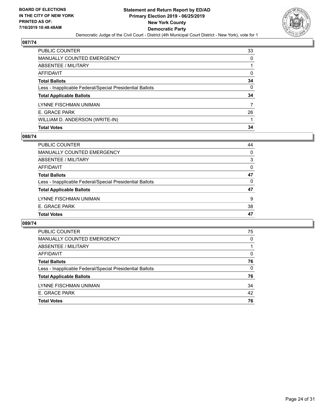

| PUBLIC COUNTER                                           | 33       |
|----------------------------------------------------------|----------|
| <b>MANUALLY COUNTED EMERGENCY</b>                        | 0        |
| <b>ABSENTEE / MILITARY</b>                               |          |
| <b>AFFIDAVIT</b>                                         | $\Omega$ |
| <b>Total Ballots</b>                                     | 34       |
| Less - Inapplicable Federal/Special Presidential Ballots | $\Omega$ |
| <b>Total Applicable Ballots</b>                          | 34       |
| LYNNE FISCHMAN UNIMAN                                    | 7        |
| E. GRACE PARK                                            | 26       |
| WILLIAM D. ANDERSON (WRITE-IN)                           |          |
| <b>Total Votes</b>                                       | 34       |

# **088/74**

| PUBLIC COUNTER                                           | 44 |
|----------------------------------------------------------|----|
| MANUALLY COUNTED EMERGENCY                               | 0  |
| ABSENTEE / MILITARY                                      | 3  |
| AFFIDAVIT                                                | 0  |
| <b>Total Ballots</b>                                     | 47 |
| Less - Inapplicable Federal/Special Presidential Ballots | 0  |
| <b>Total Applicable Ballots</b>                          | 47 |
| LYNNE FISCHMAN UNIMAN                                    | 9  |
| E. GRACE PARK                                            | 38 |
| <b>Total Votes</b>                                       | 47 |
|                                                          |    |

| PUBLIC COUNTER                                           | 75       |
|----------------------------------------------------------|----------|
| <b>MANUALLY COUNTED EMERGENCY</b>                        | 0        |
| ABSENTEE / MILITARY                                      |          |
| AFFIDAVIT                                                | $\Omega$ |
| <b>Total Ballots</b>                                     | 76       |
| Less - Inapplicable Federal/Special Presidential Ballots | $\Omega$ |
| <b>Total Applicable Ballots</b>                          | 76       |
| LYNNE FISCHMAN UNIMAN                                    | 34       |
| E. GRACE PARK                                            | 42       |
| <b>Total Votes</b>                                       | 76       |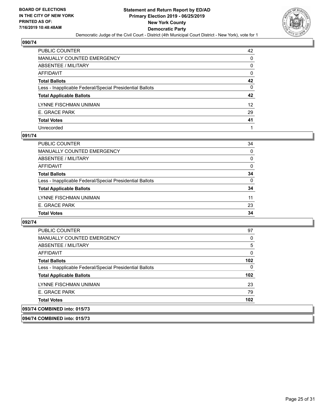

| PUBLIC COUNTER                                           | 42       |
|----------------------------------------------------------|----------|
| <b>MANUALLY COUNTED EMERGENCY</b>                        | 0        |
| ABSENTEE / MILITARY                                      | 0        |
| AFFIDAVIT                                                | 0        |
| <b>Total Ballots</b>                                     | 42       |
| Less - Inapplicable Federal/Special Presidential Ballots | $\Omega$ |
| <b>Total Applicable Ballots</b>                          | 42       |
| LYNNE FISCHMAN UNIMAN                                    | 12       |
| E. GRACE PARK                                            | 29       |
| <b>Total Votes</b>                                       | 41       |
| Unrecorded                                               |          |

#### **091/74**

| <b>Total Votes</b>                                       | 34       |
|----------------------------------------------------------|----------|
| E. GRACE PARK                                            | 23       |
| LYNNE FISCHMAN UNIMAN                                    | 11       |
| <b>Total Applicable Ballots</b>                          | 34       |
| Less - Inapplicable Federal/Special Presidential Ballots | 0        |
| <b>Total Ballots</b>                                     | 34       |
| AFFIDAVIT                                                | $\Omega$ |
| ABSENTEE / MILITARY                                      | $\Omega$ |
| <b>MANUALLY COUNTED EMERGENCY</b>                        | $\Omega$ |
| <b>PUBLIC COUNTER</b>                                    | 34       |

#### **092/74**

| <b>PUBLIC COUNTER</b>                                    | 97  |
|----------------------------------------------------------|-----|
| <b>MANUALLY COUNTED EMERGENCY</b>                        | 0   |
| ABSENTEE / MILITARY                                      | 5   |
| AFFIDAVIT                                                | 0   |
| <b>Total Ballots</b>                                     | 102 |
| Less - Inapplicable Federal/Special Presidential Ballots | 0   |
| <b>Total Applicable Ballots</b>                          | 102 |
| LYNNE FISCHMAN UNIMAN                                    | 23  |
| E. GRACE PARK                                            | 79  |
| <b>Total Votes</b>                                       | 102 |
| 093/74 COMBINED into: 015/73                             |     |

**094/74 COMBINED into: 015/73**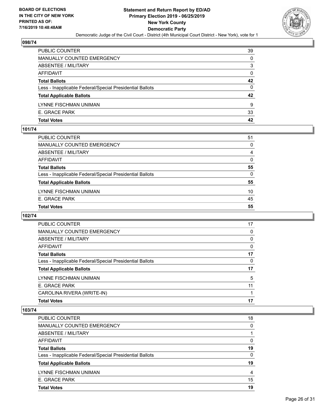

| PUBLIC COUNTER                                           | 39 |
|----------------------------------------------------------|----|
| MANUALLY COUNTED EMERGENCY                               | 0  |
| ABSENTEE / MILITARY                                      | 3  |
| AFFIDAVIT                                                | 0  |
| <b>Total Ballots</b>                                     | 42 |
| Less - Inapplicable Federal/Special Presidential Ballots | 0  |
| <b>Total Applicable Ballots</b>                          | 42 |
| LYNNE FISCHMAN UNIMAN                                    | 9  |
| E. GRACE PARK                                            | 33 |
| <b>Total Votes</b>                                       | 42 |

#### **101/74**

| PUBLIC COUNTER                                           | 51       |
|----------------------------------------------------------|----------|
| <b>MANUALLY COUNTED EMERGENCY</b>                        | 0        |
| ABSENTEE / MILITARY                                      | 4        |
| AFFIDAVIT                                                | $\Omega$ |
| <b>Total Ballots</b>                                     | 55       |
| Less - Inapplicable Federal/Special Presidential Ballots | $\Omega$ |
| <b>Total Applicable Ballots</b>                          | 55       |
| LYNNE FISCHMAN UNIMAN                                    | 10       |
| E. GRACE PARK                                            | 45       |
| <b>Total Votes</b>                                       | 55       |
|                                                          |          |

# **102/74**

| <b>PUBLIC COUNTER</b>                                    | 17       |
|----------------------------------------------------------|----------|
| MANUALLY COUNTED EMERGENCY                               | 0        |
| ABSENTEE / MILITARY                                      | 0        |
| AFFIDAVIT                                                | $\Omega$ |
| <b>Total Ballots</b>                                     | 17       |
| Less - Inapplicable Federal/Special Presidential Ballots | 0        |
| <b>Total Applicable Ballots</b>                          | 17       |
| LYNNE FISCHMAN UNIMAN                                    | 5        |
| E. GRACE PARK                                            | 11       |
| CAROLINA RIVERA (WRITE-IN)                               |          |
| <b>Total Votes</b>                                       | 17       |
|                                                          |          |

| PUBLIC COUNTER                                           | 18       |
|----------------------------------------------------------|----------|
| MANUALLY COUNTED EMERGENCY                               | $\Omega$ |
| ABSENTEE / MILITARY                                      |          |
| AFFIDAVIT                                                | 0        |
| <b>Total Ballots</b>                                     | 19       |
| Less - Inapplicable Federal/Special Presidential Ballots | $\Omega$ |
| <b>Total Applicable Ballots</b>                          | 19       |
| LYNNE FISCHMAN UNIMAN                                    | 4        |
| E. GRACE PARK                                            | 15       |
| <b>Total Votes</b>                                       | 19       |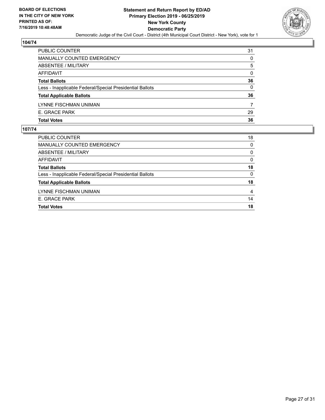

| 31       |
|----------|
| 0        |
| 5        |
| $\Omega$ |
| 36       |
| 0        |
| 36       |
|          |
| 29       |
| 36       |
|          |

| <b>PUBLIC COUNTER</b>                                    | 18 |
|----------------------------------------------------------|----|
| MANUALLY COUNTED EMERGENCY                               | 0  |
| ABSENTEE / MILITARY                                      | 0  |
| AFFIDAVIT                                                | 0  |
| <b>Total Ballots</b>                                     | 18 |
| Less - Inapplicable Federal/Special Presidential Ballots | 0  |
| <b>Total Applicable Ballots</b>                          | 18 |
| LYNNE FISCHMAN UNIMAN                                    | 4  |
| E. GRACE PARK                                            | 14 |
| <b>Total Votes</b>                                       | 18 |
|                                                          |    |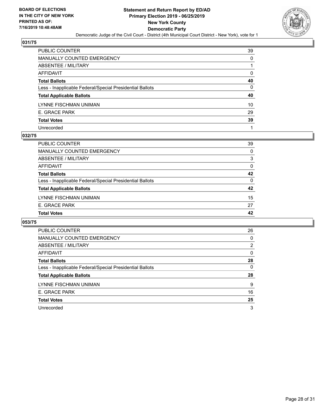

| PUBLIC COUNTER                                           | 39 |
|----------------------------------------------------------|----|
| MANUALLY COUNTED EMERGENCY                               | 0  |
| ABSENTEE / MILITARY                                      |    |
| AFFIDAVIT                                                | 0  |
| Total Ballots                                            | 40 |
| Less - Inapplicable Federal/Special Presidential Ballots | 0  |
| <b>Total Applicable Ballots</b>                          | 40 |
| LYNNE FISCHMAN UNIMAN                                    | 10 |
| E. GRACE PARK                                            | 29 |
| <b>Total Votes</b>                                       | 39 |
| Unrecorded                                               |    |

#### **032/75**

| <b>Total Votes</b>                                       | 42       |
|----------------------------------------------------------|----------|
| E. GRACE PARK                                            | 27       |
| LYNNE FISCHMAN UNIMAN                                    | 15       |
| <b>Total Applicable Ballots</b>                          | 42       |
|                                                          |          |
| Less - Inapplicable Federal/Special Presidential Ballots | $\Omega$ |
| <b>Total Ballots</b>                                     | 42       |
| AFFIDAVIT                                                | $\Omega$ |
| <b>ABSENTEE / MILITARY</b>                               | 3        |
| MANUALLY COUNTED EMERGENCY                               | $\Omega$ |
| <b>PUBLIC COUNTER</b>                                    | 39       |

| PUBLIC COUNTER                                           | 26             |
|----------------------------------------------------------|----------------|
| <b>MANUALLY COUNTED EMERGENCY</b>                        | 0              |
| ABSENTEE / MILITARY                                      | $\overline{2}$ |
| AFFIDAVIT                                                | $\Omega$       |
| <b>Total Ballots</b>                                     | 28             |
| Less - Inapplicable Federal/Special Presidential Ballots | $\Omega$       |
| <b>Total Applicable Ballots</b>                          | 28             |
| LYNNE FISCHMAN UNIMAN                                    | 9              |
| E. GRACE PARK                                            | 16             |
| <b>Total Votes</b>                                       | 25             |
| Unrecorded                                               | 3              |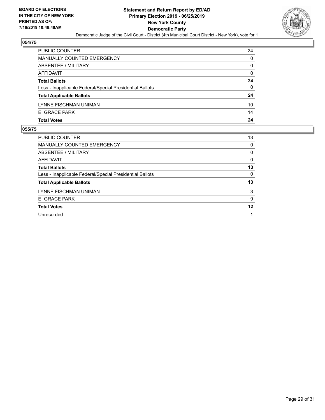

| 24       |
|----------|
| 0        |
| 0        |
| $\Omega$ |
| 24       |
| 0        |
| 24       |
| 10       |
| 14       |
| 24       |
|          |

| PUBLIC COUNTER                                           | 13 |
|----------------------------------------------------------|----|
| <b>MANUALLY COUNTED EMERGENCY</b>                        | 0  |
| ABSENTEE / MILITARY                                      | 0  |
| AFFIDAVIT                                                | 0  |
| <b>Total Ballots</b>                                     | 13 |
| Less - Inapplicable Federal/Special Presidential Ballots | 0  |
| <b>Total Applicable Ballots</b>                          | 13 |
| LYNNE FISCHMAN UNIMAN                                    | 3  |
| E. GRACE PARK                                            | 9  |
| <b>Total Votes</b>                                       | 12 |
| Unrecorded                                               | 1  |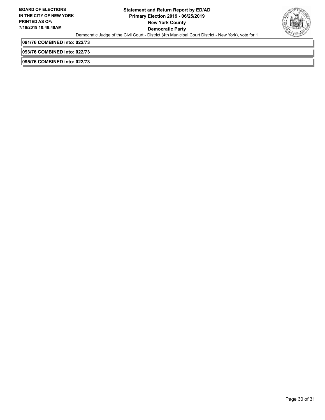

**091/76 COMBINED into: 022/73**

**093/76 COMBINED into: 022/73**

**095/76 COMBINED into: 022/73**